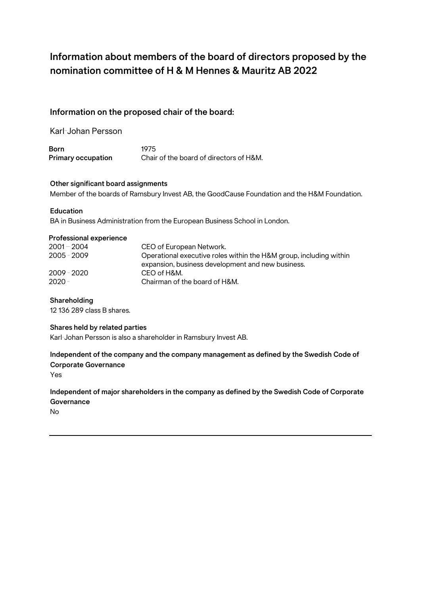# **Information about members of the board of directors proposed by the nomination committee of H & M Hennes & Mauritz AB 2022**

# **Information on the proposed chair of the board:**

Karl-Johan Persson

**Born** 1975<br> **Primary occupation** Chair **Chair of the board of directors of H&M.** 

### **Other significant board assignments**

Member of the boards of Ramsbury Invest AB, the GoodCause Foundation and the H&M Foundation.

#### **Education**

BA in Business Administration from the European Business School in London.

#### **Professional experience**

| $2001 - 2004$ | CEO of European Network.                                           |
|---------------|--------------------------------------------------------------------|
| $2005 - 2009$ | Operational executive roles within the H&M group, including within |
|               | expansion, business development and new business.                  |
| $2009 - 2020$ | CEO of H&M.                                                        |
| $2020 -$      | Chairman of the board of H&M.                                      |

#### **Shareholding**

12 136 289 class B shares.

#### **Shares held by related parties**

Karl-Johan Persson is also a shareholder in Ramsbury Invest AB.

# **Independent of the company and the company management as defined by the Swedish Code of Corporate Governance**

Yes

# **Independent of major shareholders in the company as defined by the Swedish Code of Corporate Governance**

No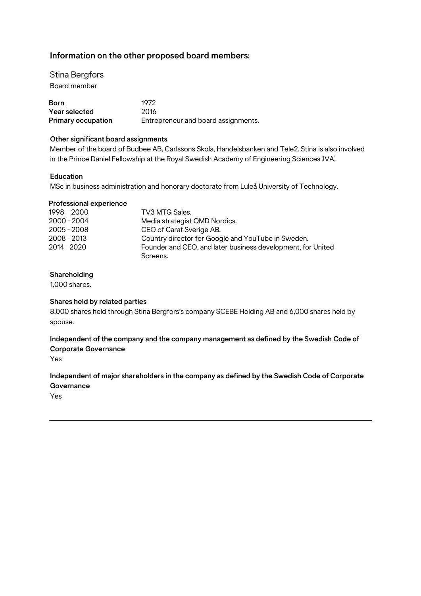# **Information on the other proposed board members:**

Stina Bergfors Board member

| Born                      | 1972                                |
|---------------------------|-------------------------------------|
| Year selected             | 2016                                |
| <b>Primary occupation</b> | Entrepreneur and board assignments. |

#### **Other significant board assignments**

Member of the board of Budbee AB, Carlssons Skola, Handelsbanken and Tele2. Stina is also involved in the Prince Daniel Fellowship at the Royal Swedish Academy of Engineering Sciences (IVA).

#### **Education**

MSc in business administration and honorary doctorate from Luleå University of Technology.

#### **Professional experience**

| $1998 - 2000$ | TV3 MTG Sales.                                              |
|---------------|-------------------------------------------------------------|
| $2000 - 2004$ | Media strategist OMD Nordics.                               |
| $2005 - 2008$ | CEO of Carat Sverige AB.                                    |
| $2008 - 2013$ | Country director for Google and YouTube in Sweden.          |
| $2014 - 2020$ | Founder and CEO, and later business development, for United |
|               | Screens.                                                    |

# **Shareholding**

1,000 shares.

#### **Shares held by related parties**

8,000 shares held through Stina Bergfors's company SCEBE Holding AB and 6,000 shares held by spouse.

# **Independent of the company and the company management as defined by the Swedish Code of Corporate Governance**

Yes

# **Independent of major shareholders in the company as defined by the Swedish Code of Corporate Governance**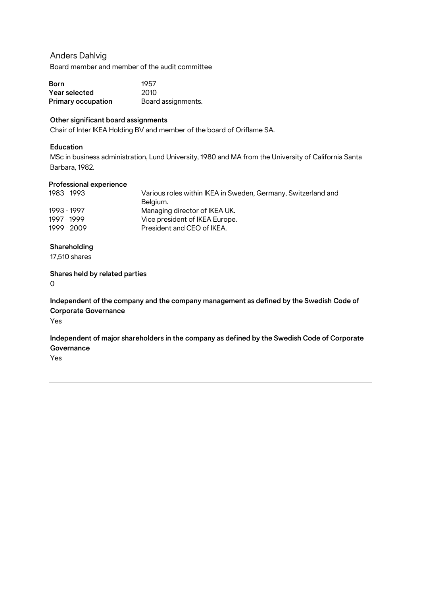# Anders Dahlvig

Board member and member of the audit committee

| Born                      | 1957               |
|---------------------------|--------------------|
| Year selected             | 2010               |
| <b>Primary occupation</b> | Board assignments. |

# **Other significant board assignments**

Chair of Inter IKEA Holding BV and member of the board of Oriflame SA.

# **Education**

MSc in business administration, Lund University, 1980 and MA from the University of California Santa Barbara, 1982.

### **Professional experience**

| Various roles within IKEA in Sweden, Germany, Switzerland and |
|---------------------------------------------------------------|
| Belgium.                                                      |
| Managing director of IKEA UK.                                 |
| Vice president of IKEA Europe.                                |
| President and CEO of IKEA.                                    |
|                                                               |

# **Shareholding**

17,510 shares

# **Shares held by related parties**

0

**Independent of the company and the company management as defined by the Swedish Code of Corporate Governance**

Yes

**Independent of major shareholders in the company as defined by the Swedish Code of Corporate Governance**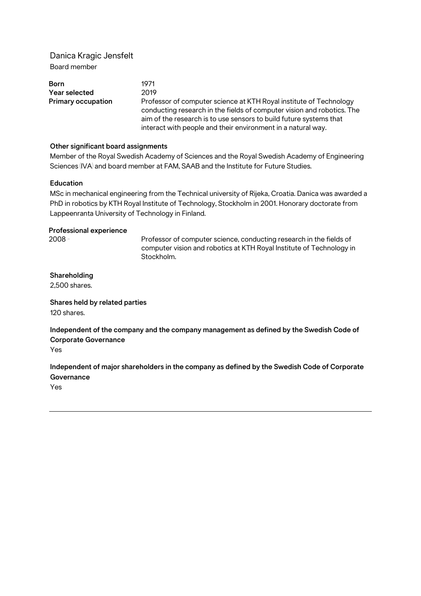# Danica Kragic Jensfelt Board member

| <b>Born</b>               | 1971                                                                                                                                                                                                                                                                               |
|---------------------------|------------------------------------------------------------------------------------------------------------------------------------------------------------------------------------------------------------------------------------------------------------------------------------|
| Year selected             | 2019                                                                                                                                                                                                                                                                               |
| <b>Primary occupation</b> | Professor of computer science at KTH Royal institute of Technology<br>conducting research in the fields of computer vision and robotics. The<br>aim of the research is to use sensors to build future systems that<br>interact with people and their environment in a natural way. |

#### **Other significant board assignments**

Member of the Royal Swedish Academy of Sciences and the Royal Swedish Academy of Engineering Sciences (IVA) and board member at FAM, SAAB and the Institute for Future Studies.

#### **Education**

MSc in mechanical engineering from the Technical university of Rijeka, Croatia. Danica was awarded a PhD in robotics by KTH Royal Institute of Technology, Stockholm in 2001. Honorary doctorate from Lappeenranta University of Technology in Finland.

#### **Professional experience**

2008 - Professor of computer science, conducting research in the fields of computer vision and robotics at KTH Royal Institute of Technology in Stockholm.

# **Shareholding**

2,500 shares.

**Shares held by related parties** 120 shares.

**Independent of the company and the company management as defined by the Swedish Code of Corporate Governance**

Yes

**Independent of major shareholders in the company as defined by the Swedish Code of Corporate Governance**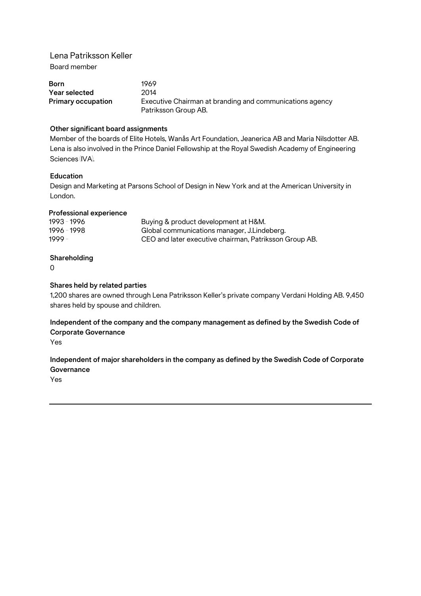Lena Patriksson Keller Board member

| Born               | 1969                                                     |
|--------------------|----------------------------------------------------------|
| Year selected      | 2014                                                     |
| Primary occupation | Executive Chairman at branding and communications agency |
|                    | Patriksson Group AB.                                     |

# **Other significant board assignments**

Member of the boards of Elite Hotels, Wanås Art Foundation, Jeanerica AB and Maria Nilsdotter AB. Lena is also involved in the Prince Daniel Fellowship at the Royal Swedish Academy of Engineering Sciences (IVA).

# **Education**

Design and Marketing at Parsons School of Design in New York and at the American University in London.

#### **Professional experience**

| 1993 - 1996 | Buying & product development at H&M.                   |
|-------------|--------------------------------------------------------|
| 1996 - 1998 | Global communications manager, J.Lindeberg.            |
| 1999 -      | CEO and later executive chairman, Patriksson Group AB. |

# **Shareholding**

0

#### **Shares held by related parties**

1,200 shares are owned through Lena Patriksson Keller's private company Verdani Holding AB. 9,450 shares held by spouse and children.

**Independent of the company and the company management as defined by the Swedish Code of Corporate Governance**

Yes

# **Independent of major shareholders in the company as defined by the Swedish Code of Corporate Governance**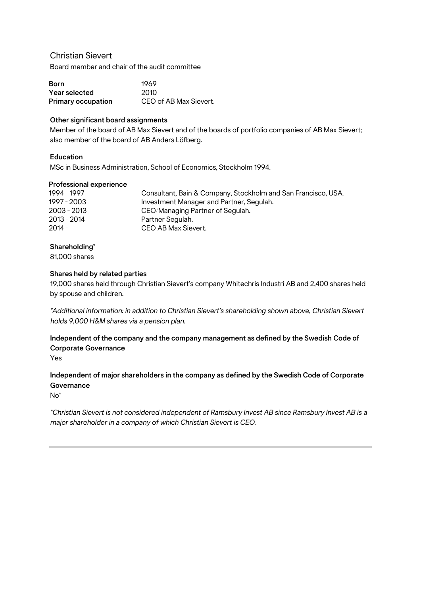# Christian Sievert

Board member and chair of the audit committee

| Born                      | 1969                   |
|---------------------------|------------------------|
| Year selected             | -2010                  |
| <b>Primary occupation</b> | CEO of AB Max Sievert. |

# **Other significant board assignments**

Member of the board of AB Max Sievert and of the boards of portfolio companies of AB Max Sievert; also member of the board of AB Anders Löfberg.

# **Education**

MSc in Business Administration, School of Economics, Stockholm 1994.

#### **Professional experience**

| 1994 - 1997 | Consultant, Bain & Company, Stockholm and San Francisco, USA. |
|-------------|---------------------------------------------------------------|
| 1997 - 2003 | Investment Manager and Partner, Segulah.                      |
| 2003 - 2013 | CEO/Managing Partner of Segulah.                              |
| 2013 - 2014 | Partner Segulah.                                              |
| 2014 -      | CEO AB Max Sievert.                                           |

# **Shareholding\***

81,000 shares

#### **Shares held by related parties**

19,000 shares held through Christian Sievert's company Whitechris Industri AB and 2,400 shares held by spouse and children.

*\*Additional information: in addition to Christian Sievert's shareholding shown above, Christian Sievert holds 9,000 H&M shares via a pension plan.* 

# **Independent of the company and the company management as defined by the Swedish Code of Corporate Governance**

Yes

# **Independent of major shareholders in the company as defined by the Swedish Code of Corporate Governance**

No\*

*\*Christian Sievert is not considered independent of Ramsbury Invest AB since Ramsbury Invest AB is a major shareholder in a company of which Christian Sievert is CEO.*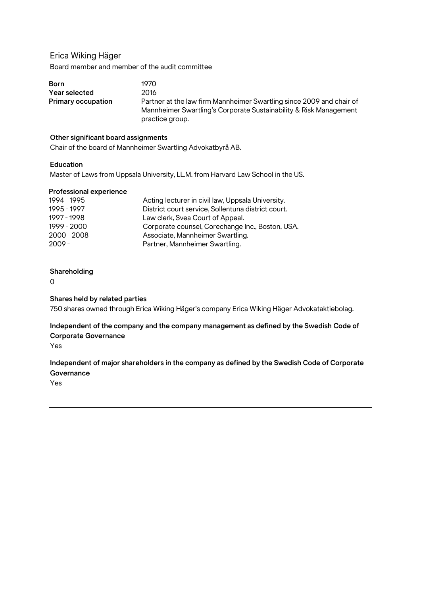# Erica Wiking Häger

Board member and member of the audit committee

| <b>Born</b>               | 1970.                                                                                                                                                        |
|---------------------------|--------------------------------------------------------------------------------------------------------------------------------------------------------------|
| Year selected             | 2016                                                                                                                                                         |
| <b>Primary occupation</b> | Partner at the law firm Mannheimer Swartling since 2009 and chair of<br>Mannheimer Swartling's Corporate Sustainability & Risk Management<br>practice group. |

# **Other significant board assignments**

Chair of the board of Mannheimer Swartling Advokatbyrå AB.

#### **Education**

Master of Laws from Uppsala University, LL.M. from Harvard Law School in the US.

#### **Professional experience**

| 1994 - 1995   | Acting lecturer in civil law, Uppsala University.  |
|---------------|----------------------------------------------------|
| 1995 - 1997   | District court service, Sollentuna district court. |
| 1997 - 1998   | Law clerk, Svea Court of Appeal.                   |
| 1999 - 2000   | Corporate counsel, Corechange Inc., Boston, USA.   |
| $2000 - 2008$ | Associate, Mannheimer Swartling.                   |
| $2009 -$      | Partner, Mannheimer Swartling.                     |

#### **Shareholding**

 $\Omega$ 

### **Shares held by related parties**

750 shares owned through Erica Wiking Häger's company Erica Wiking Häger Advokataktiebolag.

# **Independent of the company and the company management as defined by the Swedish Code of Corporate Governance**

Yes

# **Independent of major shareholders in the company as defined by the Swedish Code of Corporate Governance**